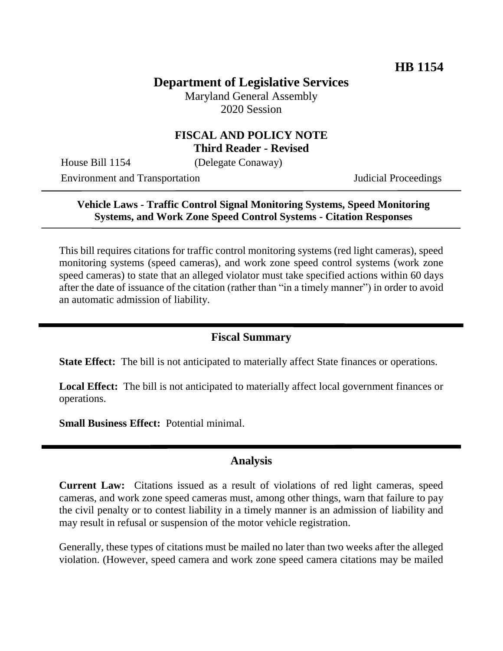# **Department of Legislative Services**

Maryland General Assembly 2020 Session

### **FISCAL AND POLICY NOTE Third Reader - Revised**

House Bill 1154 (Delegate Conaway)

Environment and Transportation Judicial Proceedings

## **Vehicle Laws - Traffic Control Signal Monitoring Systems, Speed Monitoring Systems, and Work Zone Speed Control Systems - Citation Responses**

This bill requires citations for traffic control monitoring systems (red light cameras), speed monitoring systems (speed cameras), and work zone speed control systems (work zone speed cameras) to state that an alleged violator must take specified actions within 60 days after the date of issuance of the citation (rather than "in a timely manner") in order to avoid an automatic admission of liability.

### **Fiscal Summary**

**State Effect:** The bill is not anticipated to materially affect State finances or operations.

**Local Effect:** The bill is not anticipated to materially affect local government finances or operations.

**Small Business Effect:** Potential minimal.

#### **Analysis**

**Current Law:** Citations issued as a result of violations of red light cameras, speed cameras, and work zone speed cameras must, among other things, warn that failure to pay the civil penalty or to contest liability in a timely manner is an admission of liability and may result in refusal or suspension of the motor vehicle registration.

Generally, these types of citations must be mailed no later than two weeks after the alleged violation. (However, speed camera and work zone speed camera citations may be mailed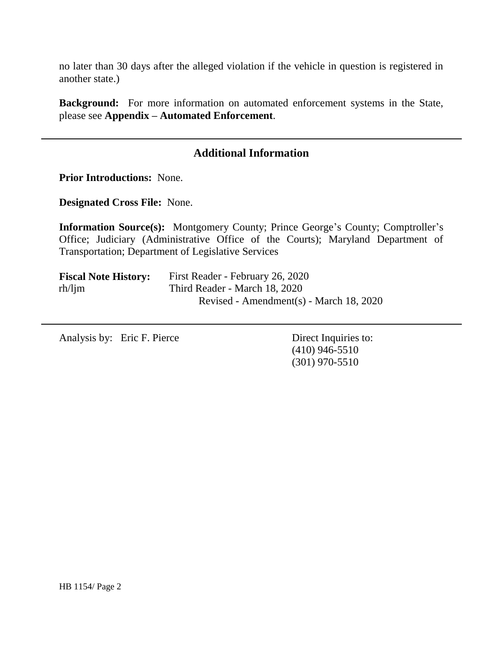no later than 30 days after the alleged violation if the vehicle in question is registered in another state.)

**Background:** For more information on automated enforcement systems in the State, please see **Appendix – Automated Enforcement**.

## **Additional Information**

**Prior Introductions:** None.

**Designated Cross File:** None.

**Information Source(s):** Montgomery County; Prince George's County; Comptroller's Office; Judiciary (Administrative Office of the Courts); Maryland Department of Transportation; Department of Legislative Services

| <b>Fiscal Note History:</b> | First Reader - February 26, 2020        |
|-----------------------------|-----------------------------------------|
| $rh/l$ jm                   | Third Reader - March 18, 2020           |
|                             | Revised - Amendment(s) - March 18, 2020 |

Analysis by: Eric F. Pierce Direct Inquiries to:

(410) 946-5510 (301) 970-5510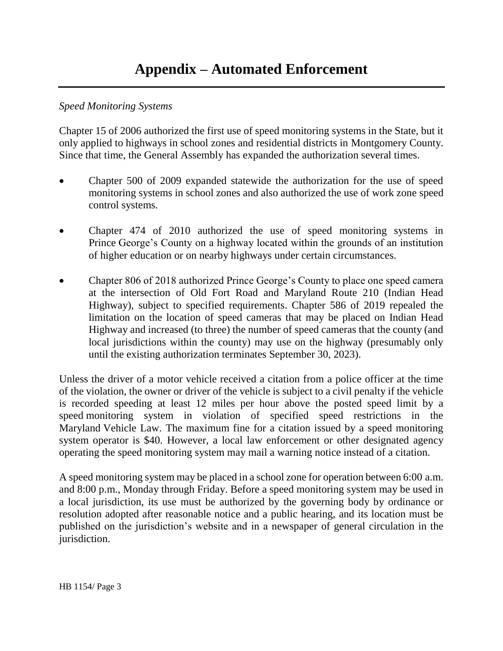### *Speed Monitoring Systems*

Chapter 15 of 2006 authorized the first use of speed monitoring systems in the State, but it only applied to highways in school zones and residential districts in Montgomery County. Since that time, the General Assembly has expanded the authorization several times.

- Chapter 500 of 2009 expanded statewide the authorization for the use of speed monitoring systems in school zones and also authorized the use of work zone speed control systems.
- Chapter 474 of 2010 authorized the use of speed monitoring systems in Prince George's County on a highway located within the grounds of an institution of higher education or on nearby highways under certain circumstances.
- Chapter 806 of 2018 authorized Prince George's County to place one speed camera at the intersection of Old Fort Road and Maryland Route 210 (Indian Head Highway), subject to specified requirements. Chapter 586 of 2019 repealed the limitation on the location of speed cameras that may be placed on Indian Head Highway and increased (to three) the number of speed cameras that the county (and local jurisdictions within the county) may use on the highway (presumably only until the existing authorization terminates September 30, 2023).

Unless the driver of a motor vehicle received a citation from a police officer at the time of the violation, the owner or driver of the vehicle is subject to a civil penalty if the vehicle is recorded speeding at least 12 miles per hour above the posted speed limit by a speed monitoring system in violation of specified speed restrictions in the Maryland Vehicle Law. The maximum fine for a citation issued by a speed monitoring system operator is \$40. However, a local law enforcement or other designated agency operating the speed monitoring system may mail a warning notice instead of a citation.

A speed monitoring system may be placed in a school zone for operation between 6:00 a.m. and 8:00 p.m., Monday through Friday. Before a speed monitoring system may be used in a local jurisdiction, its use must be authorized by the governing body by ordinance or resolution adopted after reasonable notice and a public hearing, and its location must be published on the jurisdiction's website and in a newspaper of general circulation in the jurisdiction.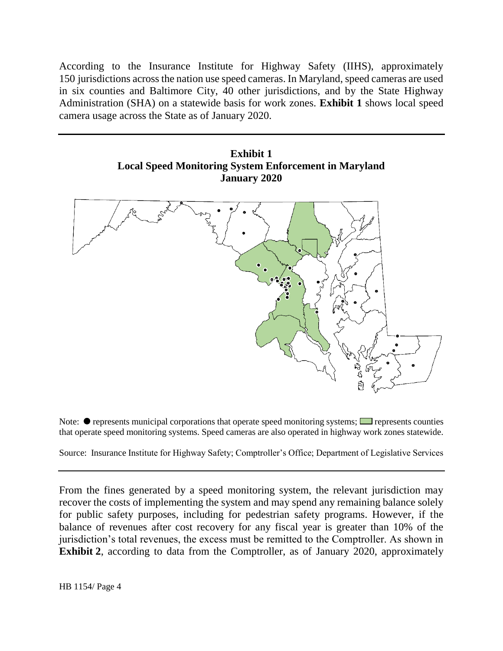According to the Insurance Institute for Highway Safety (IIHS), approximately 150 jurisdictions across the nation use speed cameras. In Maryland, speed cameras are used in six counties and Baltimore City, 40 other jurisdictions, and by the State Highway Administration (SHA) on a statewide basis for work zones. **Exhibit 1** shows local speed camera usage across the State as of January 2020.





Note:  $\bullet$  represents municipal corporations that operate speed monitoring systems;  $\Box$  represents counties that operate speed monitoring systems. Speed cameras are also operated in highway work zones statewide.

Source: Insurance Institute for Highway Safety; Comptroller's Office; Department of Legislative Services

From the fines generated by a speed monitoring system, the relevant jurisdiction may recover the costs of implementing the system and may spend any remaining balance solely for public safety purposes, including for pedestrian safety programs. However, if the balance of revenues after cost recovery for any fiscal year is greater than 10% of the jurisdiction's total revenues, the excess must be remitted to the Comptroller. As shown in **Exhibit 2**, according to data from the Comptroller, as of January 2020, approximately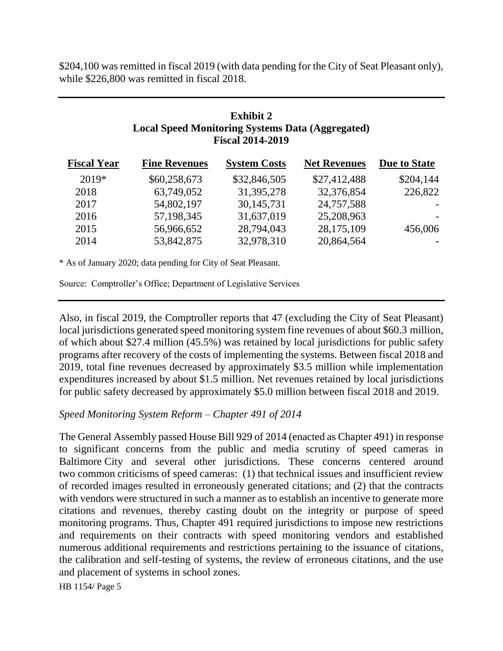\$204,100 was remitted in fiscal 2019 (with data pending for the City of Seat Pleasant only), while \$226,800 was remitted in fiscal 2018.

## **Exhibit 2 Local Speed Monitoring Systems Data (Aggregated) Fiscal 2014-2019**

| <b>Fiscal Year</b> | <b>Fine Revenues</b> | <b>System Costs</b> | <b>Net Revenues</b> | Due to State |
|--------------------|----------------------|---------------------|---------------------|--------------|
| $2019*$            | \$60,258,673         | \$32,846,505        | \$27,412,488        | \$204,144    |
| 2018               | 63,749,052           | 31, 395, 278        | 32,376,854          | 226,822      |
| 2017               | 54,802,197           | 30,145,731          | 24,757,588          |              |
| 2016               | 57,198,345           | 31,637,019          | 25,208,963          |              |
| 2015               | 56,966,652           | 28,794,043          | 28,175,109          | 456,006      |
| 2014               | 53,842,875           | 32,978,310          | 20,864,564          |              |
|                    |                      |                     |                     |              |

\* As of January 2020; data pending for City of Seat Pleasant.

Source: Comptroller's Office; Department of Legislative Services

Also, in fiscal 2019, the Comptroller reports that 47 (excluding the City of Seat Pleasant) local jurisdictions generated speed monitoring system fine revenues of about \$60.3 million, of which about \$27.4 million (45.5%) was retained by local jurisdictions for public safety programs after recovery of the costs of implementing the systems. Between fiscal 2018 and 2019, total fine revenues decreased by approximately \$3.5 million while implementation expenditures increased by about \$1.5 million. Net revenues retained by local jurisdictions for public safety decreased by approximately \$5.0 million between fiscal 2018 and 2019.

#### *Speed Monitoring System Reform – Chapter 491 of 2014*

The General Assembly passed House Bill 929 of 2014 (enacted as Chapter 491) in response to significant concerns from the public and media scrutiny of speed cameras in Baltimore City and several other jurisdictions. These concerns centered around two common criticisms of speed cameras: (1) that technical issues and insufficient review of recorded images resulted in erroneously generated citations; and (2) that the contracts with vendors were structured in such a manner as to establish an incentive to generate more citations and revenues, thereby casting doubt on the integrity or purpose of speed monitoring programs. Thus, Chapter 491 required jurisdictions to impose new restrictions and requirements on their contracts with speed monitoring vendors and established numerous additional requirements and restrictions pertaining to the issuance of citations, the calibration and self-testing of systems, the review of erroneous citations, and the use and placement of systems in school zones.

HB 1154/ Page 5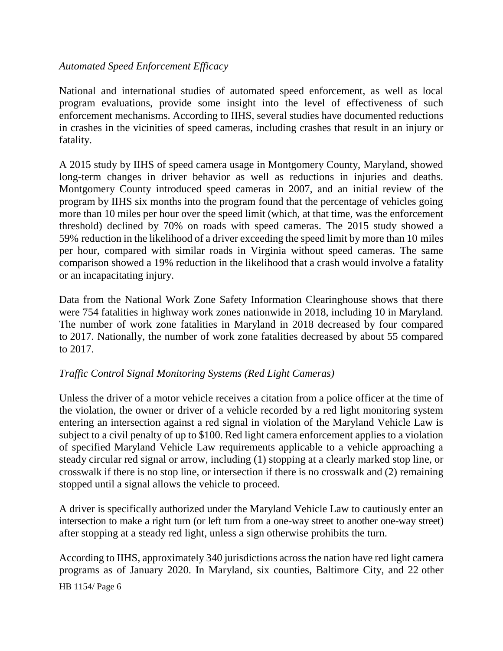#### *Automated Speed Enforcement Efficacy*

National and international studies of automated speed enforcement, as well as local program evaluations, provide some insight into the level of effectiveness of such enforcement mechanisms. According to IIHS, several studies have documented reductions in crashes in the vicinities of speed cameras, including crashes that result in an injury or fatality.

A 2015 study by IIHS of speed camera usage in Montgomery County, Maryland, showed long-term changes in driver behavior as well as reductions in injuries and deaths. Montgomery County introduced speed cameras in 2007, and an initial review of the program by IIHS six months into the program found that the percentage of vehicles going more than 10 miles per hour over the speed limit (which, at that time, was the enforcement threshold) declined by 70% on roads with speed cameras. The 2015 study showed a 59% reduction in the likelihood of a driver exceeding the speed limit by more than 10 miles per hour, compared with similar roads in Virginia without speed cameras. The same comparison showed a 19% reduction in the likelihood that a crash would involve a fatality or an incapacitating injury.

Data from the National Work Zone Safety Information Clearinghouse shows that there were 754 fatalities in highway work zones nationwide in 2018, including 10 in Maryland. The number of work zone fatalities in Maryland in 2018 decreased by four compared to 2017. Nationally, the number of work zone fatalities decreased by about 55 compared to 2017.

### *Traffic Control Signal Monitoring Systems (Red Light Cameras)*

Unless the driver of a motor vehicle receives a citation from a police officer at the time of the violation, the owner or driver of a vehicle recorded by a red light monitoring system entering an intersection against a red signal in violation of the Maryland Vehicle Law is subject to a civil penalty of up to \$100. Red light camera enforcement applies to a violation of specified Maryland Vehicle Law requirements applicable to a vehicle approaching a steady circular red signal or arrow, including (1) stopping at a clearly marked stop line, or crosswalk if there is no stop line, or intersection if there is no crosswalk and (2) remaining stopped until a signal allows the vehicle to proceed.

A driver is specifically authorized under the Maryland Vehicle Law to cautiously enter an intersection to make a right turn (or left turn from a one-way street to another one-way street) after stopping at a steady red light, unless a sign otherwise prohibits the turn.

HB 1154/ Page 6 According to IIHS, approximately 340 jurisdictions across the nation have red light camera programs as of January 2020. In Maryland, six counties, Baltimore City, and 22 other